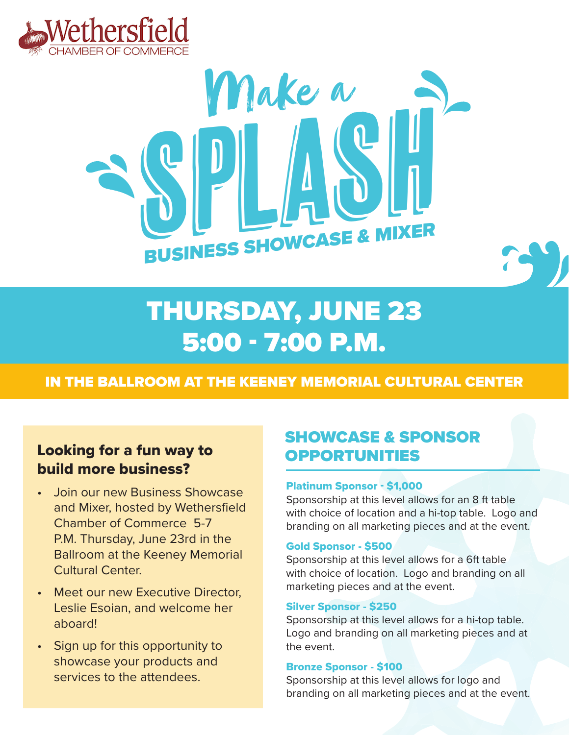



# THURSDAY, JUNE 23 5:00 - 7:00 P.M.

### IN THE BALLROOM AT THE KEENEY MEMORIAL CULTURAL CENTER

### Looking for a fun way to build more business?

- Join our new Business Showcase and Mixer, hosted by Wethersfield Chamber of Commerce 5-7 P.M. Thursday, June 23rd in the Ballroom at the Keeney Memorial Cultural Center.
- Meet our new Executive Director, Leslie Esoian, and welcome her aboard!
- Sign up for this opportunity to showcase your products and services to the attendees.

# SHOWCASE & SPONSOR OPPORTUNITIES

#### Platinum Sponsor - \$1,000

Sponsorship at this level allows for an 8 ft table with choice of location and a hi-top table. Logo and branding on all marketing pieces and at the event.

#### Gold Sponsor - \$500

Sponsorship at this level allows for a 6ft table with choice of location. Logo and branding on all marketing pieces and at the event.

#### Silver Sponsor - \$250

Sponsorship at this level allows for a hi-top table. Logo and branding on all marketing pieces and at the event.

#### Bronze Sponsor - \$100

Sponsorship at this level allows for logo and branding on all marketing pieces and at the event.